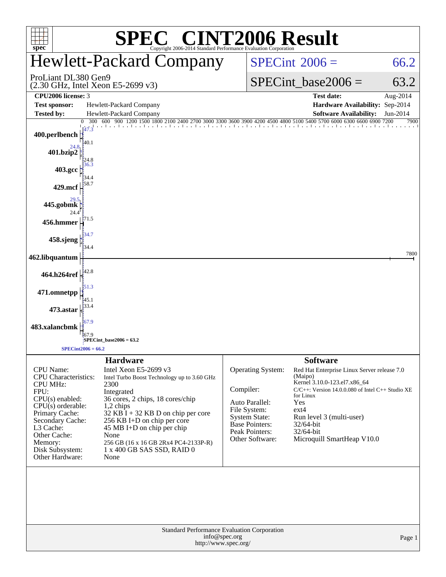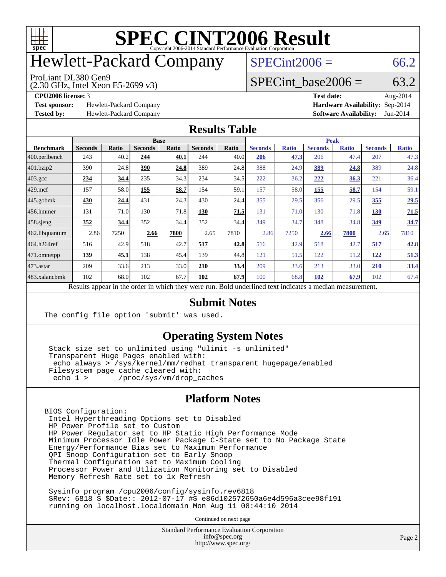

## Hewlett-Packard Company

#### ProLiant DL380 Gen9

(2.30 GHz, Intel Xeon E5-2699 v3)

 $SPECint2006 = 66.2$  $SPECint2006 = 66.2$ 

#### SPECint base2006 =  $63.2$

**[Test sponsor:](http://www.spec.org/auto/cpu2006/Docs/result-fields.html#Testsponsor)** Hewlett-Packard Company **[Hardware Availability:](http://www.spec.org/auto/cpu2006/Docs/result-fields.html#HardwareAvailability)** Sep-2014

**[CPU2006 license:](http://www.spec.org/auto/cpu2006/Docs/result-fields.html#CPU2006license)** 3 **[Test date:](http://www.spec.org/auto/cpu2006/Docs/result-fields.html#Testdate)** Aug-2014 **[Tested by:](http://www.spec.org/auto/cpu2006/Docs/result-fields.html#Testedby)** Hewlett-Packard Company **[Software Availability:](http://www.spec.org/auto/cpu2006/Docs/result-fields.html#SoftwareAvailability)** Jun-2014

#### **[Results Table](http://www.spec.org/auto/cpu2006/Docs/result-fields.html#ResultsTable)**

|                                                                                                          | <b>Base</b>    |              |                |              |                |       | <b>Peak</b>    |              |                |              |                |              |
|----------------------------------------------------------------------------------------------------------|----------------|--------------|----------------|--------------|----------------|-------|----------------|--------------|----------------|--------------|----------------|--------------|
| <b>Benchmark</b>                                                                                         | <b>Seconds</b> | <b>Ratio</b> | <b>Seconds</b> | <b>Ratio</b> | <b>Seconds</b> | Ratio | <b>Seconds</b> | <b>Ratio</b> | <b>Seconds</b> | <b>Ratio</b> | <b>Seconds</b> | <b>Ratio</b> |
| 400.perlbench                                                                                            | 243            | 40.2         | 244            | 40.1         | 244            | 40.0  | 206            | 47.3         | 206            | 47.4         | 207            | 47.3         |
| $401$ .bzip2                                                                                             | 390            | 24.8         | 390            | 24.8         | 389            | 24.8  | 388            | 24.9         | 389            | 24.8         | 389            | 24.8         |
| $403.\mathrm{gcc}$                                                                                       | 234            | 34.4         | 235            | 34.3         | 234            | 34.5  | 222            | 36.2         | 222            | 36.3         | 221            | 36.4         |
| $429$ .mcf                                                                                               | 157            | 58.0         | 155            | 58.7         | 154            | 59.1  | 157            | 58.0         | <u>155</u>     | 58.7         | 154            | 59.1         |
| $445$ .gobmk                                                                                             | 430            | 24.4         | 431            | 24.3         | 430            | 24.4  | 355            | 29.5         | 356            | 29.5         | 355            | 29.5         |
| $456.$ hmmer                                                                                             | 131            | 71.0         | 130            | 71.8         | 130            | 71.5  | 131            | 71.0         | 130            | 71.8         | 130            | 71.5         |
| $458$ .sjeng                                                                                             | 352            | 34.4         | 352            | 34.4         | 352            | 34.4  | 349            | 34.7         | 348            | 34.8         | 349            | 34.7         |
| 462.libquantum                                                                                           | 2.86           | 7250         | 2.66           | 7800         | 2.65           | 7810  | 2.86           | 7250         | 2.66           | 7800         | 2.65           | 7810         |
| 464.h264ref                                                                                              | 516            | 42.9         | 518            | 42.7         | 517            | 42.8  | 516            | 42.9         | 518            | 42.7         | 517            | 42.8         |
| 471.omnetpp                                                                                              | 139            | 45.1         | 138            | 45.4         | 139            | 44.8  | 121            | 51.5         | 122            | 51.2         | 122            | 51.3         |
| 473.astar                                                                                                | 209            | 33.6         | 213            | 33.0         | 210            | 33.4  | 209            | 33.6         | 213            | 33.0         | 210            | 33.4         |
| 483.xalancbmk                                                                                            | 102            | 68.0         | 102            | 67.7         | 102            | 67.9  | 100            | 68.8         | 102            | 67.9         | 102            | 67.4         |
| Results appear in the order in which they were run. Bold underlined text indicates a median measurement. |                |              |                |              |                |       |                |              |                |              |                |              |

#### **[Submit Notes](http://www.spec.org/auto/cpu2006/Docs/result-fields.html#SubmitNotes)**

The config file option 'submit' was used.

#### **[Operating System Notes](http://www.spec.org/auto/cpu2006/Docs/result-fields.html#OperatingSystemNotes)**

 Stack size set to unlimited using "ulimit -s unlimited" Transparent Huge Pages enabled with: echo always > /sys/kernel/mm/redhat\_transparent\_hugepage/enabled Filesystem page cache cleared with: echo 1 > /proc/sys/vm/drop\_caches

#### **[Platform Notes](http://www.spec.org/auto/cpu2006/Docs/result-fields.html#PlatformNotes)**

BIOS Configuration: Intel Hyperthreading Options set to Disabled HP Power Profile set to Custom HP Power Regulator set to HP Static High Performance Mode Minimum Processor Idle Power Package C-State set to No Package State Energy/Performance Bias set to Maximum Performance QPI Snoop Configuration set to Early Snoop Thermal Configuration set to Maximum Cooling Processor Power and Utlization Monitoring set to Disabled Memory Refresh Rate set to 1x Refresh

 Sysinfo program /cpu2006/config/sysinfo.rev6818 \$Rev: 6818 \$ \$Date:: 2012-07-17 #\$ e86d102572650a6e4d596a3cee98f191 running on localhost.localdomain Mon Aug 11 08:44:10 2014

Continued on next page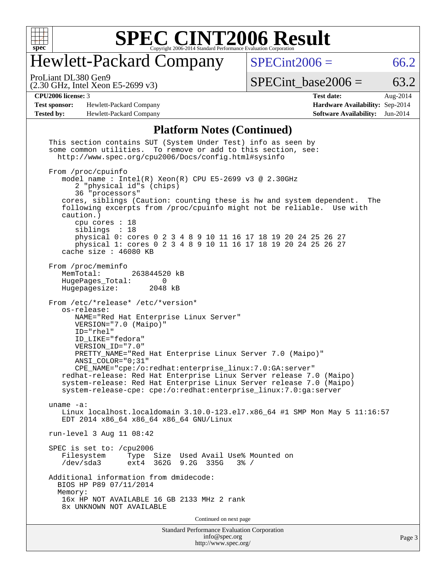

# Hewlett-Packard Company

 $SPECTnt2006 = 66.2$ 

(2.30 GHz, Intel Xeon E5-2699 v3) ProLiant DL380 Gen9

 $SPECTnt\_base2006 = 63.2$ 

**[Test sponsor:](http://www.spec.org/auto/cpu2006/Docs/result-fields.html#Testsponsor)** Hewlett-Packard Company **[Hardware Availability:](http://www.spec.org/auto/cpu2006/Docs/result-fields.html#HardwareAvailability)** Sep-2014 **[Tested by:](http://www.spec.org/auto/cpu2006/Docs/result-fields.html#Testedby)** Hewlett-Packard Company **[Software Availability:](http://www.spec.org/auto/cpu2006/Docs/result-fields.html#SoftwareAvailability)** Jun-2014

**[CPU2006 license:](http://www.spec.org/auto/cpu2006/Docs/result-fields.html#CPU2006license)** 3 **[Test date:](http://www.spec.org/auto/cpu2006/Docs/result-fields.html#Testdate)** Aug-2014

#### **[Platform Notes \(Continued\)](http://www.spec.org/auto/cpu2006/Docs/result-fields.html#PlatformNotes)**

| <b>Standard Performance Evaluation Corporation</b><br>info@spec.org<br>http://www.spec.org/                                                                                                                                                                                                                                                                                                                                                                                                                                                   | Page 3 |
|-----------------------------------------------------------------------------------------------------------------------------------------------------------------------------------------------------------------------------------------------------------------------------------------------------------------------------------------------------------------------------------------------------------------------------------------------------------------------------------------------------------------------------------------------|--------|
| Continued on next page                                                                                                                                                                                                                                                                                                                                                                                                                                                                                                                        |        |
| Additional information from dmidecode:<br>BIOS HP P89 07/11/2014<br>Memory:<br>16x HP NOT AVAILABLE 16 GB 2133 MHz 2 rank<br>8x UNKNOWN NOT AVAILABLE                                                                                                                                                                                                                                                                                                                                                                                         |        |
| SPEC is set to: /cpu2006<br>Filesystem<br>Type Size Used Avail Use% Mounted on<br>ext4 362G 9.2G 335G<br>/dev/sda3<br>$3\frac{3}{6}$ /                                                                                                                                                                                                                                                                                                                                                                                                        |        |
| run-level 3 Aug 11 08:42                                                                                                                                                                                                                                                                                                                                                                                                                                                                                                                      |        |
| uname $-a$ :<br>Linux localhost.localdomain 3.10.0-123.el7.x86_64 #1 SMP Mon May 5 11:16:57<br>EDT 2014 x86_64 x86_64 x86_64 GNU/Linux                                                                                                                                                                                                                                                                                                                                                                                                        |        |
| From /etc/*release* /etc/*version*<br>os-release:<br>NAME="Red Hat Enterprise Linux Server"<br>VERSION="7.0 (Maipo)"<br>ID="rhel"<br>ID LIKE="fedora"<br>VERSION ID="7.0"<br>PRETTY_NAME="Red Hat Enterprise Linux Server 7.0 (Maipo)"<br>ANSI COLOR="0;31"<br>$CPE\_NAME='cpe://o:redhat:enterprise\_linux:7.0:GA:server"$<br>redhat-release: Red Hat Enterprise Linux Server release 7.0 (Maipo)<br>system-release: Red Hat Enterprise Linux Server release 7.0 (Maipo)<br>system-release-cpe: cpe:/o:redhat:enterprise_linux:7.0:ga:server |        |
| From /proc/meminfo<br>MemTotal:<br>263844520 kB<br>HugePages_Total:<br>$\Omega$<br>Hugepagesize: 2048 kB                                                                                                                                                                                                                                                                                                                                                                                                                                      |        |
| cores, siblings (Caution: counting these is hw and system dependent.<br>The<br>following excerpts from /proc/cpuinfo might not be reliable. Use with<br>caution.)<br>cpu cores $: 18$<br>siblings : 18<br>physical 0: cores 0 2 3 4 8 9 10 11 16 17 18 19 20 24 25 26 27<br>physical 1: cores 0 2 3 4 8 9 10 11 16 17 18 19 20 24 25 26 27<br>cache size $: 46080$ KB                                                                                                                                                                         |        |
| From /proc/cpuinfo<br>model name: $Intel(R)$ Xeon(R) CPU E5-2699 v3 @ 2.30GHz<br>2 "physical id"s (chips)<br>36 "processors"                                                                                                                                                                                                                                                                                                                                                                                                                  |        |
| This section contains SUT (System Under Test) info as seen by<br>some common utilities. To remove or add to this section, see:<br>http://www.spec.org/cpu2006/Docs/config.html#sysinfo                                                                                                                                                                                                                                                                                                                                                        |        |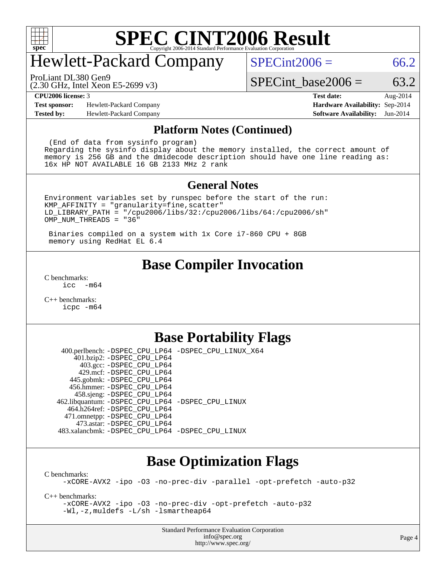

### Hewlett-Packard Company

ProLiant DL380 Gen9

 $SPECint2006 = 66.2$  $SPECint2006 = 66.2$ 

(2.30 GHz, Intel Xeon E5-2699 v3)

SPECint base2006 =  $63.2$ 

**[Test sponsor:](http://www.spec.org/auto/cpu2006/Docs/result-fields.html#Testsponsor)** Hewlett-Packard Company **[Hardware Availability:](http://www.spec.org/auto/cpu2006/Docs/result-fields.html#HardwareAvailability)** Sep-2014 **[Tested by:](http://www.spec.org/auto/cpu2006/Docs/result-fields.html#Testedby)** Hewlett-Packard Company **[Software Availability:](http://www.spec.org/auto/cpu2006/Docs/result-fields.html#SoftwareAvailability)** Jun-2014

**[CPU2006 license:](http://www.spec.org/auto/cpu2006/Docs/result-fields.html#CPU2006license)** 3 **[Test date:](http://www.spec.org/auto/cpu2006/Docs/result-fields.html#Testdate)** Aug-2014

#### **[Platform Notes \(Continued\)](http://www.spec.org/auto/cpu2006/Docs/result-fields.html#PlatformNotes)**

 (End of data from sysinfo program) Regarding the sysinfo display about the memory installed, the correct amount of memory is 256 GB and the dmidecode description should have one line reading as: 16x HP NOT AVAILABLE 16 GB 2133 MHz 2 rank

#### **[General Notes](http://www.spec.org/auto/cpu2006/Docs/result-fields.html#GeneralNotes)**

Environment variables set by runspec before the start of the run: KMP\_AFFINITY = "granularity=fine,scatter" LD\_LIBRARY\_PATH = "/cpu2006/libs/32:/cpu2006/libs/64:/cpu2006/sh" OMP\_NUM\_THREADS = "36"

 Binaries compiled on a system with 1x Core i7-860 CPU + 8GB memory using RedHat EL 6.4

#### **[Base Compiler Invocation](http://www.spec.org/auto/cpu2006/Docs/result-fields.html#BaseCompilerInvocation)**

[C benchmarks](http://www.spec.org/auto/cpu2006/Docs/result-fields.html#Cbenchmarks):  $\text{icc}$  -m64

[C++ benchmarks:](http://www.spec.org/auto/cpu2006/Docs/result-fields.html#CXXbenchmarks) [icpc -m64](http://www.spec.org/cpu2006/results/res2014q3/cpu2006-20140908-31225.flags.html#user_CXXbase_intel_icpc_64bit_fc66a5337ce925472a5c54ad6a0de310)

#### **[Base Portability Flags](http://www.spec.org/auto/cpu2006/Docs/result-fields.html#BasePortabilityFlags)**

 400.perlbench: [-DSPEC\\_CPU\\_LP64](http://www.spec.org/cpu2006/results/res2014q3/cpu2006-20140908-31225.flags.html#b400.perlbench_basePORTABILITY_DSPEC_CPU_LP64) [-DSPEC\\_CPU\\_LINUX\\_X64](http://www.spec.org/cpu2006/results/res2014q3/cpu2006-20140908-31225.flags.html#b400.perlbench_baseCPORTABILITY_DSPEC_CPU_LINUX_X64) 401.bzip2: [-DSPEC\\_CPU\\_LP64](http://www.spec.org/cpu2006/results/res2014q3/cpu2006-20140908-31225.flags.html#suite_basePORTABILITY401_bzip2_DSPEC_CPU_LP64) 403.gcc: [-DSPEC\\_CPU\\_LP64](http://www.spec.org/cpu2006/results/res2014q3/cpu2006-20140908-31225.flags.html#suite_basePORTABILITY403_gcc_DSPEC_CPU_LP64) 429.mcf: [-DSPEC\\_CPU\\_LP64](http://www.spec.org/cpu2006/results/res2014q3/cpu2006-20140908-31225.flags.html#suite_basePORTABILITY429_mcf_DSPEC_CPU_LP64) 445.gobmk: [-DSPEC\\_CPU\\_LP64](http://www.spec.org/cpu2006/results/res2014q3/cpu2006-20140908-31225.flags.html#suite_basePORTABILITY445_gobmk_DSPEC_CPU_LP64) 456.hmmer: [-DSPEC\\_CPU\\_LP64](http://www.spec.org/cpu2006/results/res2014q3/cpu2006-20140908-31225.flags.html#suite_basePORTABILITY456_hmmer_DSPEC_CPU_LP64) 458.sjeng: [-DSPEC\\_CPU\\_LP64](http://www.spec.org/cpu2006/results/res2014q3/cpu2006-20140908-31225.flags.html#suite_basePORTABILITY458_sjeng_DSPEC_CPU_LP64) 462.libquantum: [-DSPEC\\_CPU\\_LP64](http://www.spec.org/cpu2006/results/res2014q3/cpu2006-20140908-31225.flags.html#suite_basePORTABILITY462_libquantum_DSPEC_CPU_LP64) [-DSPEC\\_CPU\\_LINUX](http://www.spec.org/cpu2006/results/res2014q3/cpu2006-20140908-31225.flags.html#b462.libquantum_baseCPORTABILITY_DSPEC_CPU_LINUX) 464.h264ref: [-DSPEC\\_CPU\\_LP64](http://www.spec.org/cpu2006/results/res2014q3/cpu2006-20140908-31225.flags.html#suite_basePORTABILITY464_h264ref_DSPEC_CPU_LP64) 471.omnetpp: [-DSPEC\\_CPU\\_LP64](http://www.spec.org/cpu2006/results/res2014q3/cpu2006-20140908-31225.flags.html#suite_basePORTABILITY471_omnetpp_DSPEC_CPU_LP64) 473.astar: [-DSPEC\\_CPU\\_LP64](http://www.spec.org/cpu2006/results/res2014q3/cpu2006-20140908-31225.flags.html#suite_basePORTABILITY473_astar_DSPEC_CPU_LP64) 483.xalancbmk: [-DSPEC\\_CPU\\_LP64](http://www.spec.org/cpu2006/results/res2014q3/cpu2006-20140908-31225.flags.html#suite_basePORTABILITY483_xalancbmk_DSPEC_CPU_LP64) [-DSPEC\\_CPU\\_LINUX](http://www.spec.org/cpu2006/results/res2014q3/cpu2006-20140908-31225.flags.html#b483.xalancbmk_baseCXXPORTABILITY_DSPEC_CPU_LINUX)

### **[Base Optimization Flags](http://www.spec.org/auto/cpu2006/Docs/result-fields.html#BaseOptimizationFlags)**

[C benchmarks](http://www.spec.org/auto/cpu2006/Docs/result-fields.html#Cbenchmarks):

[-xCORE-AVX2](http://www.spec.org/cpu2006/results/res2014q3/cpu2006-20140908-31225.flags.html#user_CCbase_f-xAVX2_5f5fc0cbe2c9f62c816d3e45806c70d7) [-ipo](http://www.spec.org/cpu2006/results/res2014q3/cpu2006-20140908-31225.flags.html#user_CCbase_f-ipo) [-O3](http://www.spec.org/cpu2006/results/res2014q3/cpu2006-20140908-31225.flags.html#user_CCbase_f-O3) [-no-prec-div](http://www.spec.org/cpu2006/results/res2014q3/cpu2006-20140908-31225.flags.html#user_CCbase_f-no-prec-div) [-parallel](http://www.spec.org/cpu2006/results/res2014q3/cpu2006-20140908-31225.flags.html#user_CCbase_f-parallel) [-opt-prefetch](http://www.spec.org/cpu2006/results/res2014q3/cpu2006-20140908-31225.flags.html#user_CCbase_f-opt-prefetch) [-auto-p32](http://www.spec.org/cpu2006/results/res2014q3/cpu2006-20140908-31225.flags.html#user_CCbase_f-auto-p32)

[C++ benchmarks:](http://www.spec.org/auto/cpu2006/Docs/result-fields.html#CXXbenchmarks)

[-xCORE-AVX2](http://www.spec.org/cpu2006/results/res2014q3/cpu2006-20140908-31225.flags.html#user_CXXbase_f-xAVX2_5f5fc0cbe2c9f62c816d3e45806c70d7) [-ipo](http://www.spec.org/cpu2006/results/res2014q3/cpu2006-20140908-31225.flags.html#user_CXXbase_f-ipo) [-O3](http://www.spec.org/cpu2006/results/res2014q3/cpu2006-20140908-31225.flags.html#user_CXXbase_f-O3) [-no-prec-div](http://www.spec.org/cpu2006/results/res2014q3/cpu2006-20140908-31225.flags.html#user_CXXbase_f-no-prec-div) [-opt-prefetch](http://www.spec.org/cpu2006/results/res2014q3/cpu2006-20140908-31225.flags.html#user_CXXbase_f-opt-prefetch) [-auto-p32](http://www.spec.org/cpu2006/results/res2014q3/cpu2006-20140908-31225.flags.html#user_CXXbase_f-auto-p32) [-Wl,-z,muldefs](http://www.spec.org/cpu2006/results/res2014q3/cpu2006-20140908-31225.flags.html#user_CXXbase_link_force_multiple1_74079c344b956b9658436fd1b6dd3a8a) [-L/sh -lsmartheap64](http://www.spec.org/cpu2006/results/res2014q3/cpu2006-20140908-31225.flags.html#user_CXXbase_SmartHeap64_ed4ef857ce90951921efb0d91eb88472)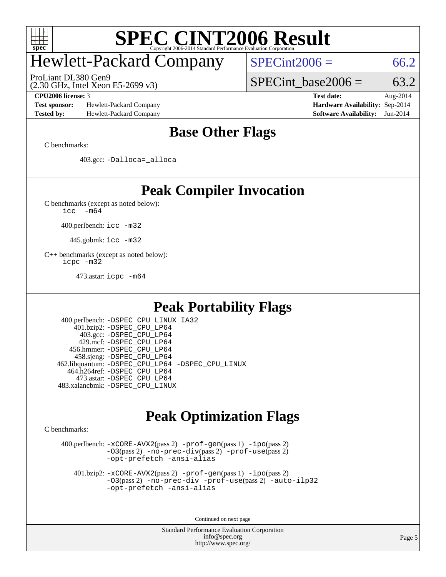

### Hewlett-Packard Company

ProLiant DL380 Gen9

 $SPECTnt2006 = 66.2$ 

(2.30 GHz, Intel Xeon E5-2699 v3)

SPECint base2006 =  $63.2$ 

**[Test sponsor:](http://www.spec.org/auto/cpu2006/Docs/result-fields.html#Testsponsor)** Hewlett-Packard Company **[Hardware Availability:](http://www.spec.org/auto/cpu2006/Docs/result-fields.html#HardwareAvailability)** Sep-2014 **[Tested by:](http://www.spec.org/auto/cpu2006/Docs/result-fields.html#Testedby)** Hewlett-Packard Company **[Software Availability:](http://www.spec.org/auto/cpu2006/Docs/result-fields.html#SoftwareAvailability)** Jun-2014

**[CPU2006 license:](http://www.spec.org/auto/cpu2006/Docs/result-fields.html#CPU2006license)** 3 **[Test date:](http://www.spec.org/auto/cpu2006/Docs/result-fields.html#Testdate)** Aug-2014

### **[Base Other Flags](http://www.spec.org/auto/cpu2006/Docs/result-fields.html#BaseOtherFlags)**

[C benchmarks](http://www.spec.org/auto/cpu2006/Docs/result-fields.html#Cbenchmarks):

403.gcc: [-Dalloca=\\_alloca](http://www.spec.org/cpu2006/results/res2014q3/cpu2006-20140908-31225.flags.html#b403.gcc_baseEXTRA_CFLAGS_Dalloca_be3056838c12de2578596ca5467af7f3)

### **[Peak Compiler Invocation](http://www.spec.org/auto/cpu2006/Docs/result-fields.html#PeakCompilerInvocation)**

[C benchmarks \(except as noted below\)](http://www.spec.org/auto/cpu2006/Docs/result-fields.html#Cbenchmarksexceptasnotedbelow):

[icc -m64](http://www.spec.org/cpu2006/results/res2014q3/cpu2006-20140908-31225.flags.html#user_CCpeak_intel_icc_64bit_f346026e86af2a669e726fe758c88044)

400.perlbench: [icc -m32](http://www.spec.org/cpu2006/results/res2014q3/cpu2006-20140908-31225.flags.html#user_peakCCLD400_perlbench_intel_icc_a6a621f8d50482236b970c6ac5f55f93)

445.gobmk: [icc -m32](http://www.spec.org/cpu2006/results/res2014q3/cpu2006-20140908-31225.flags.html#user_peakCCLD445_gobmk_intel_icc_a6a621f8d50482236b970c6ac5f55f93)

[C++ benchmarks \(except as noted below\):](http://www.spec.org/auto/cpu2006/Docs/result-fields.html#CXXbenchmarksexceptasnotedbelow) [icpc -m32](http://www.spec.org/cpu2006/results/res2014q3/cpu2006-20140908-31225.flags.html#user_CXXpeak_intel_icpc_4e5a5ef1a53fd332b3c49e69c3330699)

473.astar: [icpc -m64](http://www.spec.org/cpu2006/results/res2014q3/cpu2006-20140908-31225.flags.html#user_peakCXXLD473_astar_intel_icpc_64bit_fc66a5337ce925472a5c54ad6a0de310)

### **[Peak Portability Flags](http://www.spec.org/auto/cpu2006/Docs/result-fields.html#PeakPortabilityFlags)**

 400.perlbench: [-DSPEC\\_CPU\\_LINUX\\_IA32](http://www.spec.org/cpu2006/results/res2014q3/cpu2006-20140908-31225.flags.html#b400.perlbench_peakCPORTABILITY_DSPEC_CPU_LINUX_IA32) 401.bzip2: [-DSPEC\\_CPU\\_LP64](http://www.spec.org/cpu2006/results/res2014q3/cpu2006-20140908-31225.flags.html#suite_peakPORTABILITY401_bzip2_DSPEC_CPU_LP64) 403.gcc: [-DSPEC\\_CPU\\_LP64](http://www.spec.org/cpu2006/results/res2014q3/cpu2006-20140908-31225.flags.html#suite_peakPORTABILITY403_gcc_DSPEC_CPU_LP64) 429.mcf: [-DSPEC\\_CPU\\_LP64](http://www.spec.org/cpu2006/results/res2014q3/cpu2006-20140908-31225.flags.html#suite_peakPORTABILITY429_mcf_DSPEC_CPU_LP64) 456.hmmer: [-DSPEC\\_CPU\\_LP64](http://www.spec.org/cpu2006/results/res2014q3/cpu2006-20140908-31225.flags.html#suite_peakPORTABILITY456_hmmer_DSPEC_CPU_LP64) 458.sjeng: [-DSPEC\\_CPU\\_LP64](http://www.spec.org/cpu2006/results/res2014q3/cpu2006-20140908-31225.flags.html#suite_peakPORTABILITY458_sjeng_DSPEC_CPU_LP64) 462.libquantum: [-DSPEC\\_CPU\\_LP64](http://www.spec.org/cpu2006/results/res2014q3/cpu2006-20140908-31225.flags.html#suite_peakPORTABILITY462_libquantum_DSPEC_CPU_LP64) [-DSPEC\\_CPU\\_LINUX](http://www.spec.org/cpu2006/results/res2014q3/cpu2006-20140908-31225.flags.html#b462.libquantum_peakCPORTABILITY_DSPEC_CPU_LINUX) 464.h264ref: [-DSPEC\\_CPU\\_LP64](http://www.spec.org/cpu2006/results/res2014q3/cpu2006-20140908-31225.flags.html#suite_peakPORTABILITY464_h264ref_DSPEC_CPU_LP64) 473.astar: [-DSPEC\\_CPU\\_LP64](http://www.spec.org/cpu2006/results/res2014q3/cpu2006-20140908-31225.flags.html#suite_peakPORTABILITY473_astar_DSPEC_CPU_LP64) 483.xalancbmk: [-DSPEC\\_CPU\\_LINUX](http://www.spec.org/cpu2006/results/res2014q3/cpu2006-20140908-31225.flags.html#b483.xalancbmk_peakCXXPORTABILITY_DSPEC_CPU_LINUX)

### **[Peak Optimization Flags](http://www.spec.org/auto/cpu2006/Docs/result-fields.html#PeakOptimizationFlags)**

[C benchmarks](http://www.spec.org/auto/cpu2006/Docs/result-fields.html#Cbenchmarks):

 400.perlbench: [-xCORE-AVX2](http://www.spec.org/cpu2006/results/res2014q3/cpu2006-20140908-31225.flags.html#user_peakPASS2_CFLAGSPASS2_LDCFLAGS400_perlbench_f-xAVX2_5f5fc0cbe2c9f62c816d3e45806c70d7)(pass 2) [-prof-gen](http://www.spec.org/cpu2006/results/res2014q3/cpu2006-20140908-31225.flags.html#user_peakPASS1_CFLAGSPASS1_LDCFLAGS400_perlbench_prof_gen_e43856698f6ca7b7e442dfd80e94a8fc)(pass 1) [-ipo](http://www.spec.org/cpu2006/results/res2014q3/cpu2006-20140908-31225.flags.html#user_peakPASS2_CFLAGSPASS2_LDCFLAGS400_perlbench_f-ipo)(pass 2) [-O3](http://www.spec.org/cpu2006/results/res2014q3/cpu2006-20140908-31225.flags.html#user_peakPASS2_CFLAGSPASS2_LDCFLAGS400_perlbench_f-O3)(pass 2) [-no-prec-div](http://www.spec.org/cpu2006/results/res2014q3/cpu2006-20140908-31225.flags.html#user_peakPASS2_CFLAGSPASS2_LDCFLAGS400_perlbench_f-no-prec-div)(pass 2) [-prof-use](http://www.spec.org/cpu2006/results/res2014q3/cpu2006-20140908-31225.flags.html#user_peakPASS2_CFLAGSPASS2_LDCFLAGS400_perlbench_prof_use_bccf7792157ff70d64e32fe3e1250b55)(pass 2) [-opt-prefetch](http://www.spec.org/cpu2006/results/res2014q3/cpu2006-20140908-31225.flags.html#user_peakCOPTIMIZE400_perlbench_f-opt-prefetch) [-ansi-alias](http://www.spec.org/cpu2006/results/res2014q3/cpu2006-20140908-31225.flags.html#user_peakCOPTIMIZE400_perlbench_f-ansi-alias)

 401.bzip2: [-xCORE-AVX2](http://www.spec.org/cpu2006/results/res2014q3/cpu2006-20140908-31225.flags.html#user_peakPASS2_CFLAGSPASS2_LDCFLAGS401_bzip2_f-xAVX2_5f5fc0cbe2c9f62c816d3e45806c70d7)(pass 2) [-prof-gen](http://www.spec.org/cpu2006/results/res2014q3/cpu2006-20140908-31225.flags.html#user_peakPASS1_CFLAGSPASS1_LDCFLAGS401_bzip2_prof_gen_e43856698f6ca7b7e442dfd80e94a8fc)(pass 1) [-ipo](http://www.spec.org/cpu2006/results/res2014q3/cpu2006-20140908-31225.flags.html#user_peakPASS2_CFLAGSPASS2_LDCFLAGS401_bzip2_f-ipo)(pass 2) [-O3](http://www.spec.org/cpu2006/results/res2014q3/cpu2006-20140908-31225.flags.html#user_peakPASS2_CFLAGSPASS2_LDCFLAGS401_bzip2_f-O3)(pass 2) [-no-prec-div](http://www.spec.org/cpu2006/results/res2014q3/cpu2006-20140908-31225.flags.html#user_peakCOPTIMIZEPASS2_CFLAGSPASS2_LDCFLAGS401_bzip2_f-no-prec-div) [-prof-use](http://www.spec.org/cpu2006/results/res2014q3/cpu2006-20140908-31225.flags.html#user_peakPASS2_CFLAGSPASS2_LDCFLAGS401_bzip2_prof_use_bccf7792157ff70d64e32fe3e1250b55)(pass 2) [-auto-ilp32](http://www.spec.org/cpu2006/results/res2014q3/cpu2006-20140908-31225.flags.html#user_peakCOPTIMIZE401_bzip2_f-auto-ilp32) [-opt-prefetch](http://www.spec.org/cpu2006/results/res2014q3/cpu2006-20140908-31225.flags.html#user_peakCOPTIMIZE401_bzip2_f-opt-prefetch) [-ansi-alias](http://www.spec.org/cpu2006/results/res2014q3/cpu2006-20140908-31225.flags.html#user_peakCOPTIMIZE401_bzip2_f-ansi-alias)

Continued on next page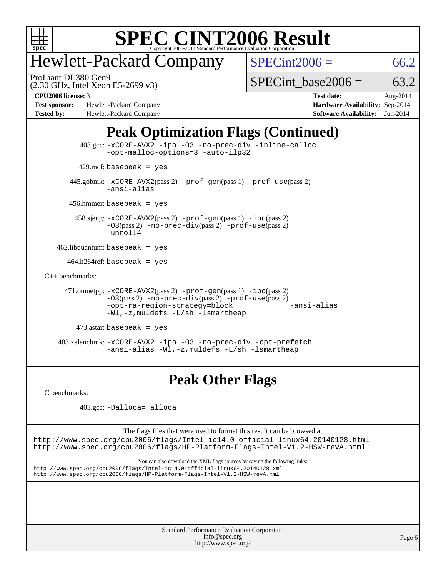

### Hewlett-Packard Company

ProLiant DL380 Gen9

 $SPECint2006 = 66.2$  $SPECint2006 = 66.2$ 

(2.30 GHz, Intel Xeon E5-2699 v3)

SPECint base2006 =  $63.2$ 

**[Test sponsor:](http://www.spec.org/auto/cpu2006/Docs/result-fields.html#Testsponsor)** Hewlett-Packard Company **[Hardware Availability:](http://www.spec.org/auto/cpu2006/Docs/result-fields.html#HardwareAvailability)** Sep-2014 **[Tested by:](http://www.spec.org/auto/cpu2006/Docs/result-fields.html#Testedby)** Hewlett-Packard Company **[Software Availability:](http://www.spec.org/auto/cpu2006/Docs/result-fields.html#SoftwareAvailability)** Jun-2014

**[CPU2006 license:](http://www.spec.org/auto/cpu2006/Docs/result-fields.html#CPU2006license)** 3 **[Test date:](http://www.spec.org/auto/cpu2006/Docs/result-fields.html#Testdate)** Aug-2014

### **[Peak Optimization Flags \(Continued\)](http://www.spec.org/auto/cpu2006/Docs/result-fields.html#PeakOptimizationFlags)**

```
 403.gcc: -xCORE-AVX2 -ipo -O3 -no-prec-div -inline-calloc
                -opt-malloc-options=3 -auto-ilp32
        429.mcf: basepeak = yes
       445.gobmk: -xCORE-AVX2(pass 2) -prof-gen(pass 1) -prof-use(pass 2)
                -ansi-alias
       456.hmmer: basepeak = yes
        458.sjeng: -xCORE-AVX2(pass 2) -prof-gen(pass 1) -ipo(pass 2)
                -O3(pass 2) -no-prec-div(pass 2) -prof-use(pass 2)
                -unroll4
    462.libquantum: basepeak = yes
     464.h264ref: basepeak = yes
C++ benchmarks: 
      471.omnetpp: -xCORE-AVX2(pass 2) -prof-gen(pass 1) -ipo(pass 2)
                -O3(pass 2) -no-prec-div(pass 2) -prof-use(pass 2)
                -opt-ra-region-strategy=block -ansi-alias
                -Wl,-z,muldefs -L/sh -lsmartheap
         473.astar: basepeak = yes
    483.xalancbmk: -xCORE-AVX2 -ipo -O3 -no-prec-div -opt-prefetch
                -ansi-alias -Wl,-z,muldefs -L/sh -lsmartheap
```
### **[Peak Other Flags](http://www.spec.org/auto/cpu2006/Docs/result-fields.html#PeakOtherFlags)**

[C benchmarks](http://www.spec.org/auto/cpu2006/Docs/result-fields.html#Cbenchmarks):

403.gcc: [-Dalloca=\\_alloca](http://www.spec.org/cpu2006/results/res2014q3/cpu2006-20140908-31225.flags.html#b403.gcc_peakEXTRA_CFLAGS_Dalloca_be3056838c12de2578596ca5467af7f3)

The flags files that were used to format this result can be browsed at <http://www.spec.org/cpu2006/flags/Intel-ic14.0-official-linux64.20140128.html> <http://www.spec.org/cpu2006/flags/HP-Platform-Flags-Intel-V1.2-HSW-revA.html>

You can also download the XML flags sources by saving the following links: <http://www.spec.org/cpu2006/flags/Intel-ic14.0-official-linux64.20140128.xml> <http://www.spec.org/cpu2006/flags/HP-Platform-Flags-Intel-V1.2-HSW-revA.xml>